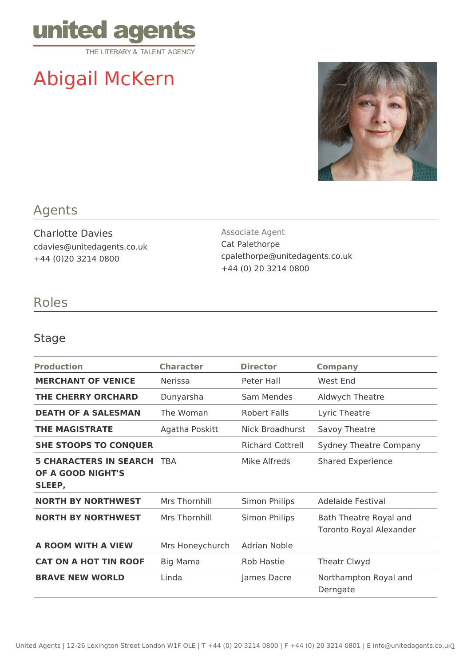

# Abigail McKern



## Agents

Charlotte Davies cdavies@unitedagents.co.uk +44 (0)20 3214 0800

Associate Agent Cat Palethorpe cpalethorpe@unitedagents.co.uk +44 (0) 20 3214 0800

## Roles

#### Stage

| <b>Production</b>                                            | <b>Character</b> | <b>Director</b>         | <b>Company</b>                                           |
|--------------------------------------------------------------|------------------|-------------------------|----------------------------------------------------------|
| <b>MERCHANT OF VENICE</b>                                    | <b>Nerissa</b>   | Peter Hall              | West End                                                 |
| <b>THE CHERRY ORCHARD</b>                                    | Dunyarsha        | Sam Mendes              | Aldwych Theatre                                          |
| <b>DEATH OF A SALESMAN</b>                                   | The Woman        | Robert Falls            | Lyric Theatre                                            |
| <b>THE MAGISTRATE</b>                                        | Agatha Poskitt   | Nick Broadhurst         | Savoy Theatre                                            |
| <b>SHE STOOPS TO CONQUER</b>                                 |                  | <b>Richard Cottrell</b> | <b>Sydney Theatre Company</b>                            |
| <b>5 CHARACTERS IN SEARCH</b><br>OF A GOOD NIGHT'S<br>SLEEP, | <b>TRA</b>       | Mike Alfreds            | <b>Shared Experience</b>                                 |
| <b>NORTH BY NORTHWEST</b>                                    | Mrs Thornhill    | Simon Philips           | <b>Adelaide Festival</b>                                 |
| <b>NORTH BY NORTHWEST</b>                                    | Mrs Thornhill    | Simon Philips           | Bath Theatre Royal and<br><b>Toronto Royal Alexander</b> |
| A ROOM WITH A VIEW                                           | Mrs Honeychurch  | Adrian Noble            |                                                          |
| <b>CAT ON A HOT TIN ROOF</b>                                 | Big Mama         | <b>Rob Hastie</b>       | <b>Theatr Clwyd</b>                                      |
| <b>BRAVE NEW WORLD</b>                                       | Linda            | James Dacre             | Northampton Royal and<br>Derngate                        |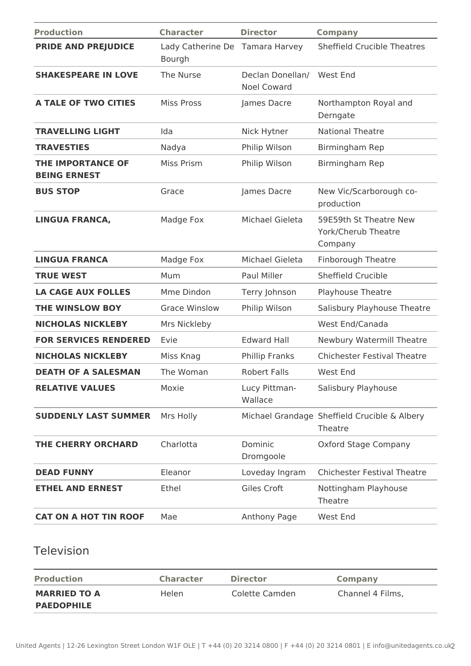| <b>Production</b>                               | <b>Character</b>                          | <b>Director</b>                        | <b>Company</b>                                           |
|-------------------------------------------------|-------------------------------------------|----------------------------------------|----------------------------------------------------------|
| <b>PRIDE AND PREJUDICE</b>                      | Lady Catherine De Tamara Harvey<br>Bourgh |                                        | <b>Sheffield Crucible Theatres</b>                       |
| <b>SHAKESPEARE IN LOVE</b>                      | The Nurse                                 | Declan Donellan/<br><b>Noel Coward</b> | West End                                                 |
| <b>A TALE OF TWO CITIES</b>                     | <b>Miss Pross</b>                         | James Dacre                            | Northampton Royal and<br>Derngate                        |
| <b>TRAVELLING LIGHT</b>                         | Ida                                       | Nick Hytner                            | <b>National Theatre</b>                                  |
| <b>TRAVESTIES</b>                               | Nadya                                     | Philip Wilson                          | Birmingham Rep                                           |
| <b>THE IMPORTANCE OF</b><br><b>BEING ERNEST</b> | Miss Prism                                | Philip Wilson                          | Birmingham Rep                                           |
| <b>BUS STOP</b>                                 | Grace                                     | James Dacre                            | New Vic/Scarborough co-<br>production                    |
| <b>LINGUA FRANCA,</b>                           | Madge Fox                                 | Michael Gieleta                        | 59E59th St Theatre New<br>York/Cherub Theatre<br>Company |
| <b>LINGUA FRANCA</b>                            | Madge Fox                                 | Michael Gieleta                        | Finborough Theatre                                       |
| <b>TRUE WEST</b>                                | Mum                                       | Paul Miller                            | <b>Sheffield Crucible</b>                                |
| <b>LA CAGE AUX FOLLES</b>                       | Mme Dindon                                | Terry Johnson                          | Playhouse Theatre                                        |
| THE WINSLOW BOY                                 | <b>Grace Winslow</b>                      | Philip Wilson                          | Salisbury Playhouse Theatre                              |
| <b>NICHOLAS NICKLEBY</b>                        | Mrs Nickleby                              |                                        | West End/Canada                                          |
| <b>FOR SERVICES RENDERED</b>                    | Evie                                      | <b>Edward Hall</b>                     | Newbury Watermill Theatre                                |
| <b>NICHOLAS NICKLEBY</b>                        | Miss Knag                                 | Phillip Franks                         | <b>Chichester Festival Theatre</b>                       |
| <b>DEATH OF A SALESMAN</b>                      | The Woman                                 | <b>Robert Falls</b>                    | West End                                                 |
| <b>RELATIVE VALUES</b>                          | Moxie                                     | Lucy Pittman-<br>Wallace               | Salisbury Playhouse                                      |
| <b>SUDDENLY LAST SUMMER</b>                     | Mrs Holly                                 |                                        | Michael Grandage Sheffield Crucible & Albery<br>Theatre  |
| <b>THE CHERRY ORCHARD</b>                       | Charlotta                                 | Dominic<br>Dromgoole                   | <b>Oxford Stage Company</b>                              |
| <b>DEAD FUNNY</b>                               | Eleanor                                   | Loveday Ingram                         | <b>Chichester Festival Theatre</b>                       |
| <b>ETHEL AND ERNEST</b>                         | Ethel                                     | Giles Croft                            | Nottingham Playhouse<br>Theatre                          |
| <b>CAT ON A HOT TIN ROOF</b>                    | Mae                                       | Anthony Page                           | West End                                                 |
|                                                 |                                           |                                        |                                                          |

#### Television

| <b>Production</b>   | <b>Character</b> | <b>Director</b> | Company          |
|---------------------|------------------|-----------------|------------------|
| <b>MARRIED TO A</b> | Helen            | Colette Camden  | Channel 4 Films, |
| <b>PAEDOPHILE</b>   |                  |                 |                  |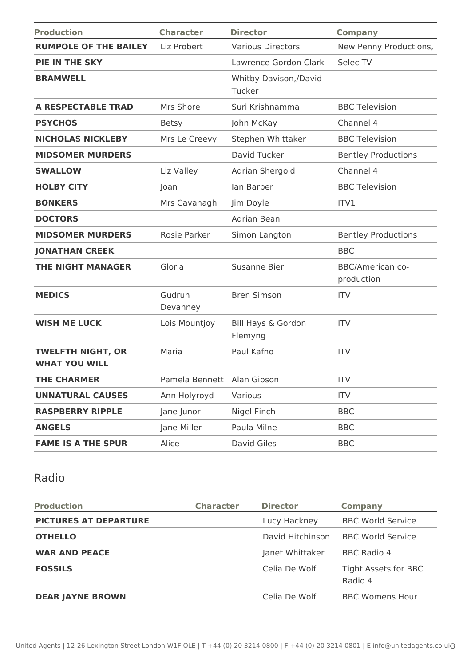| <b>Production</b>                                | <b>Character</b>           | <b>Director</b>                 | <b>Company</b>                        |
|--------------------------------------------------|----------------------------|---------------------------------|---------------------------------------|
| <b>RUMPOLE OF THE BAILEY</b>                     | Liz Probert                | <b>Various Directors</b>        | New Penny Productions,                |
| PIE IN THE SKY                                   |                            | Lawrence Gordon Clark           | Selec TV                              |
| <b>BRAMWELL</b>                                  |                            | Whitby Davison,/David<br>Tucker |                                       |
| <b>A RESPECTABLE TRAD</b>                        | Mrs Shore                  | Suri Krishnamma                 | <b>BBC Television</b>                 |
| <b>PSYCHOS</b>                                   | <b>Betsy</b>               | John McKay                      | Channel 4                             |
| <b>NICHOLAS NICKLEBY</b>                         | Mrs Le Creevy              | Stephen Whittaker               | <b>BBC Television</b>                 |
| <b>MIDSOMER MURDERS</b>                          |                            | David Tucker                    | <b>Bentley Productions</b>            |
| <b>SWALLOW</b>                                   | Liz Valley                 | Adrian Shergold                 | Channel 4                             |
| <b>HOLBY CITY</b>                                | Joan                       | lan Barber                      | <b>BBC Television</b>                 |
| <b>BONKERS</b>                                   | Mrs Cavanagh               | Jim Doyle                       | ITV1                                  |
| <b>DOCTORS</b>                                   |                            | Adrian Bean                     |                                       |
| <b>MIDSOMER MURDERS</b>                          | Rosie Parker               | Simon Langton                   | <b>Bentley Productions</b>            |
| <b>JONATHAN CREEK</b>                            |                            |                                 | <b>BBC</b>                            |
| <b>THE NIGHT MANAGER</b>                         | Gloria                     | Susanne Bier                    | <b>BBC/American co-</b><br>production |
| <b>MEDICS</b>                                    | Gudrun<br>Devanney         | <b>Bren Simson</b>              | <b>ITV</b>                            |
| <b>WISH ME LUCK</b>                              | Lois Mountjoy              | Bill Hays & Gordon<br>Flemyng   | <b>ITV</b>                            |
| <b>TWELFTH NIGHT, OR</b><br><b>WHAT YOU WILL</b> | Maria                      | Paul Kafno                      | <b>ITV</b>                            |
| <b>THE CHARMER</b>                               | Pamela Bennett Alan Gibson |                                 | <b>ITV</b>                            |
| <b>UNNATURAL CAUSES</b>                          | Ann Holyroyd               | Various                         | <b>ITV</b>                            |
| <b>RASPBERRY RIPPLE</b>                          | Jane Junor                 | Nigel Finch                     | <b>BBC</b>                            |
| <b>ANGELS</b>                                    | Jane Miller                | Paula Milne                     | <b>BBC</b>                            |
| <b>FAME IS A THE SPUR</b>                        | Alice                      | David Giles                     | <b>BBC</b>                            |

# Radio

| <b>Production</b>            | <b>Character</b> | <b>Director</b>  | <b>Company</b>                  |
|------------------------------|------------------|------------------|---------------------------------|
| <b>PICTURES AT DEPARTURE</b> |                  | Lucy Hackney     | <b>BBC World Service</b>        |
| <b>OTHELLO</b>               |                  | David Hitchinson | <b>BBC World Service</b>        |
| <b>WAR AND PEACE</b>         |                  | Janet Whittaker  | BBC Radio 4                     |
| <b>FOSSILS</b>               |                  | Celia De Wolf    | Tight Assets for BBC<br>Radio 4 |
| <b>DEAR JAYNE BROWN</b>      |                  | Celia De Wolf    | <b>BBC Womens Hour</b>          |